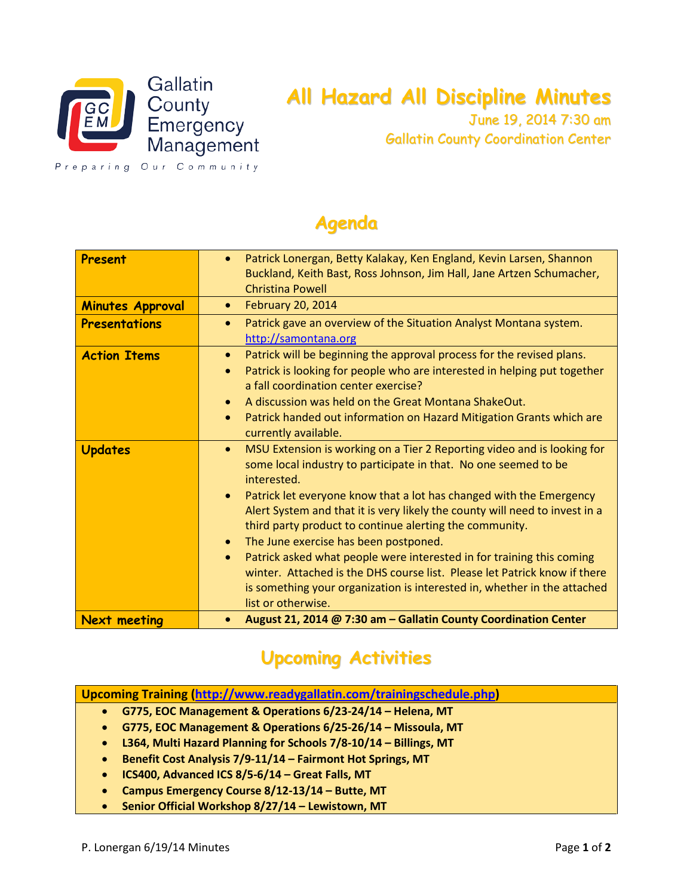

## **All Hazard All Discipline Minutes**

June 19, 2014 7:30 am Gallatin County Coordination Center

Preparing Our Community

## **Agenda**

| Present                 | Patrick Lonergan, Betty Kalakay, Ken England, Kevin Larsen, Shannon<br>Buckland, Keith Bast, Ross Johnson, Jim Hall, Jane Artzen Schumacher,<br><b>Christina Powell</b>                                                                                                                                                                                                                                                                                                                                                                                                                                                                                                                                                 |
|-------------------------|-------------------------------------------------------------------------------------------------------------------------------------------------------------------------------------------------------------------------------------------------------------------------------------------------------------------------------------------------------------------------------------------------------------------------------------------------------------------------------------------------------------------------------------------------------------------------------------------------------------------------------------------------------------------------------------------------------------------------|
| <b>Minutes Approval</b> | <b>February 20, 2014</b><br>$\bullet$                                                                                                                                                                                                                                                                                                                                                                                                                                                                                                                                                                                                                                                                                   |
| Presentations           | Patrick gave an overview of the Situation Analyst Montana system.<br>۰<br>http://samontana.org                                                                                                                                                                                                                                                                                                                                                                                                                                                                                                                                                                                                                          |
| <b>Action Items</b>     | Patrick will be beginning the approval process for the revised plans.<br>۰<br>Patrick is looking for people who are interested in helping put together<br>a fall coordination center exercise?<br>A discussion was held on the Great Montana ShakeOut.<br>۰<br>Patrick handed out information on Hazard Mitigation Grants which are<br>$\bullet$<br>currently available.                                                                                                                                                                                                                                                                                                                                                |
| <b>Updates</b>          | MSU Extension is working on a Tier 2 Reporting video and is looking for<br>۰<br>some local industry to participate in that. No one seemed to be<br>interested.<br>Patrick let everyone know that a lot has changed with the Emergency<br>$\bullet$<br>Alert System and that it is very likely the county will need to invest in a<br>third party product to continue alerting the community.<br>The June exercise has been postponed.<br>$\bullet$<br>Patrick asked what people were interested in for training this coming<br>$\bullet$<br>winter. Attached is the DHS course list. Please let Patrick know if there<br>is something your organization is interested in, whether in the attached<br>list or otherwise. |
| <b>Next meeting</b>     | August 21, 2014 @ 7:30 am - Gallatin County Coordination Center                                                                                                                                                                                                                                                                                                                                                                                                                                                                                                                                                                                                                                                         |

## **Upcoming Activities**

- **G775, EOC Management & Operations 6/23-24/14 – Helena, MT**
- **G775, EOC Management & Operations 6/25-26/14 – Missoula, MT**
- **L364, Multi Hazard Planning for Schools 7/8-10/14 – Billings, MT**
- **Benefit Cost Analysis 7/9-11/14 – Fairmont Hot Springs, MT**
- **ICS400, Advanced ICS 8/5-6/14 – Great Falls, MT**
- **Campus Emergency Course 8/12-13/14 – Butte, MT**
- **Senior Official Workshop 8/27/14 – Lewistown, MT**